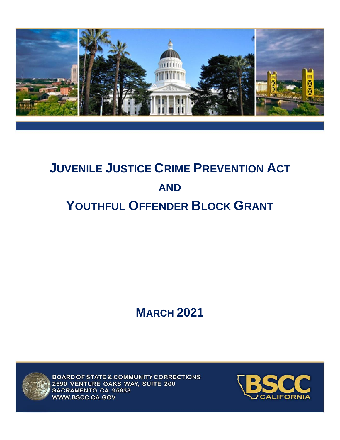

# **JUVENILE JUSTICE CRIME PREVENTION ACT AND YOUTHFUL OFFENDER BLOCK GRANT**

## **MARCH 2021**



BOARD OF STATE & COMMUNITY CORRECTIONS 2590 VENTURE OAKS WAY, SUITE 200 SACRAMENTO CA 95833 WWW.BSCC.CA.GOV

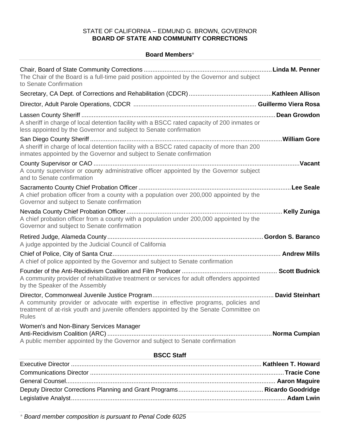## STATE OF CALIFORNIA – EDMUND G. BROWN, GOVERNOR **BOARD OF STATE AND COMMUNITY CORRECTIONS**

#### **Board Members\***

| The Chair of the Board is a full-time paid position appointed by the Governor and subject<br>to Senate Confirmation                                                                           |  |  |
|-----------------------------------------------------------------------------------------------------------------------------------------------------------------------------------------------|--|--|
|                                                                                                                                                                                               |  |  |
|                                                                                                                                                                                               |  |  |
| A sheriff in charge of local detention facility with a BSCC rated capacity of 200 inmates or<br>less appointed by the Governor and subject to Senate confirmation                             |  |  |
| A sheriff in charge of local detention facility with a BSCC rated capacity of more than 200<br>inmates appointed by the Governor and subject to Senate confirmation                           |  |  |
| A county supervisor or county administrative officer appointed by the Governor subject<br>and to Senate confirmation                                                                          |  |  |
| A chief probation officer from a county with a population over 200,000 appointed by the<br>Governor and subject to Senate confirmation                                                        |  |  |
| A chief probation officer from a county with a population under 200,000 appointed by the<br>Governor and subject to Senate confirmation                                                       |  |  |
| A judge appointed by the Judicial Council of California                                                                                                                                       |  |  |
| A chief of police appointed by the Governor and subject to Senate confirmation                                                                                                                |  |  |
| A community provider of rehabilitative treatment or services for adult offenders appointed<br>by the Speaker of the Assembly                                                                  |  |  |
| A community provider or advocate with expertise in effective programs, policies and<br>treatment of at-risk youth and juvenile offenders appointed by the Senate Committee on<br><b>Rules</b> |  |  |
| Women's and Non-Binary Services Manager<br>A public member appointed by the Governor and subject to Senate confirmation                                                                       |  |  |
| <b>BSCC Staff</b>                                                                                                                                                                             |  |  |
|                                                                                                                                                                                               |  |  |

*\* Board member composition is pursuant to Penal Code 6025*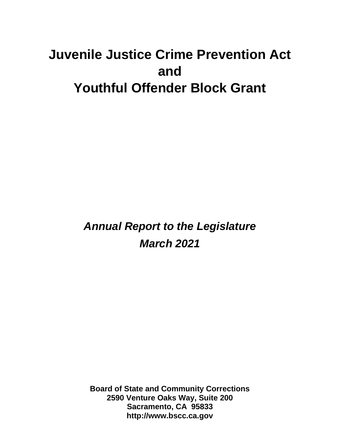## **Juvenile Justice Crime Prevention Act and Youthful Offender Block Grant**

*Annual Report to the Legislature March 2021*

**Board of State and Community Corrections 2590 Venture Oaks Way, Suite 200 Sacramento, CA 95833 http://www.bscc.ca.gov**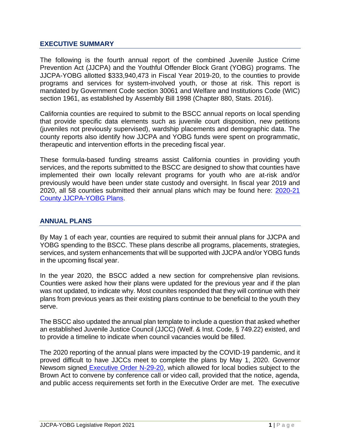## **EXECUTIVE SUMMARY**

The following is the fourth annual report of the combined Juvenile Justice Crime Prevention Act (JJCPA) and the Youthful Offender Block Grant (YOBG) programs. The JJCPA-YOBG allotted \$333,940,473 in Fiscal Year 2019-20, to the counties to provide programs and services for system-involved youth, or those at risk. This report is mandated by Government Code section 30061 and Welfare and Institutions Code (WIC) section 1961, as established by Assembly Bill 1998 (Chapter 880, Stats. 2016).

California counties are required to submit to the BSCC annual reports on local spending that provide specific data elements such as juvenile court disposition, new petitions (juveniles not previously supervised), wardship placements and demographic data. The county reports also identify how JJCPA and YOBG funds were spent on programmatic, therapeutic and intervention efforts in the preceding fiscal year.

These formula-based funding streams assist California counties in providing youth services, and the reports submitted to the BSCC are designed to show that counties have implemented their own locally relevant programs for youth who are at-risk and/or previously would have been under state custody and oversight. In fiscal year 2019 and 2020, all 58 counties submitted their annual plans which may be found here: [2020-21](https://www.bscc.ca.gov/s_cpgp2021countyjjcpayobgplans/)  [County JJCPA-YOBG Plans.](https://www.bscc.ca.gov/s_cpgp2021countyjjcpayobgplans/)

## **ANNUAL PLANS**

By May 1 of each year, counties are required to submit their annual plans for JJCPA and YOBG spending to the BSCC. These plans describe all programs, placements, strategies, services, and system enhancements that will be supported with JJCPA and/or YOBG funds in the upcoming fiscal year.

In the year 2020, the BSCC added a new section for comprehensive plan revisions. Counties were asked how their plans were updated for the previous year and if the plan was not updated, to indicate why. Most counites responded that they will continue with their plans from previous years as their existing plans continue to be beneficial to the youth they serve.

The BSCC also updated the annual plan template to include a question that asked whether an established Juvenile Justice Council (JJCC) (Welf. & Inst. Code, § 749.22) existed, and to provide a timeline to indicate when council vacancies would be filled.

The 2020 reporting of the annual plans were impacted by the COVID-19 pandemic, and it proved difficult to have JJCCs meet to complete the plans by May 1, 2020. Governor Newsom signed [Executive Order N-29-20,](https://www.gov.ca.gov/wp-content/uploads/2020/03/3.17.20-N-29-20-EO.pdf) which allowed for local bodies subject to the Brown Act to convene by conference call or video call, provided that the notice, agenda, and public access requirements set forth in the Executive Order are met. The executive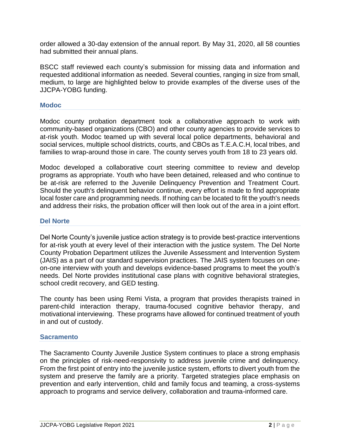order allowed a 30-day extension of the annual report. By May 31, 2020, all 58 counties had submitted their annual plans.

BSCC staff reviewed each county's submission for missing data and information and requested additional information as needed. Several counties, ranging in size from small, medium, to large are highlighted below to provide examples of the diverse uses of the JJCPA-YOBG funding.

#### **Modoc**

Modoc county probation department took a collaborative approach to work with community-based organizations (CBO) and other county agencies to provide services to at-risk youth. Modoc teamed up with several local police departments, behavioral and social services, multiple school districts, courts, and CBOs as T.E.A.C.H, local tribes, and families to wrap-around those in care. The county serves youth from 18 to 23 years old.

Modoc developed a collaborative court steering committee to review and develop programs as appropriate. Youth who have been detained, released and who continue to be at-risk are referred to the Juvenile Delinquency Prevention and Treatment Court. Should the youth's delinquent behavior continue, every effort is made to find appropriate local foster care and programming needs. If nothing can be located to fit the youth's needs and address their risks, the probation officer will then look out of the area in a joint effort.

#### **Del Norte**

Del Norte County's juvenile justice action strategy is to provide best-practice interventions for at-risk youth at every level of their interaction with the justice system. The Del Norte County Probation Department utilizes the Juvenile Assessment and Intervention System (JAIS) as a part of our standard supervision practices. The JAIS system focuses on oneon-one interview with youth and develops evidence-based programs to meet the youth's needs. Del Norte provides institutional case plans with cognitive behavioral strategies, school credit recovery, and GED testing.

The county has been using Remi Vista, a program that provides therapists trained in parent-child interaction therapy, trauma-focused cognitive behavior therapy, and motivational interviewing. These programs have allowed for continued treatment of youth in and out of custody.

#### **Sacramento**

The Sacramento County Juvenile Justice System continues to place a strong emphasis on the principles of risk-need-responsivity to address juvenile crime and delinquency. From the first point of entry into the juvenile justice system, efforts to divert youth from the system and preserve the family are a priority. Targeted strategies place emphasis on prevention and early intervention, child and family focus and teaming, a cross-systems approach to programs and service delivery, collaboration and trauma-informed care.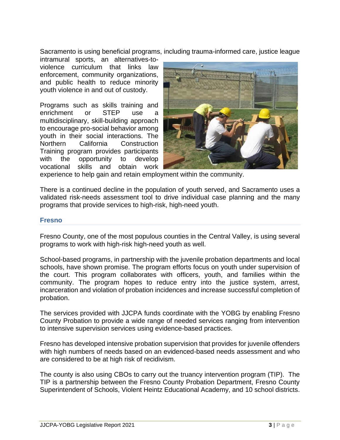Sacramento is using beneficial programs, including trauma-informed care, justice league

intramural sports, an alternatives-toviolence curriculum that links law enforcement, community organizations, and public health to reduce minority youth violence in and out of custody.

Programs such as skills training and enrichment or STEP use a multidisciplinary, skill-building approach to encourage pro-social behavior among youth in their social interactions. The Northern California Construction Training program provides participants with the opportunity to develop vocational skills and obtain work



experience to help gain and retain employment within the community.

There is a continued decline in the population of youth served, and Sacramento uses a validated risk-needs assessment tool to drive individual case planning and the many programs that provide services to high-risk, high-need youth.

#### **Fresno**

Fresno County, one of the most populous counties in the Central Valley, is using several programs to work with high-risk high-need youth as well.

School-based programs, in partnership with the juvenile probation departments and local schools, have shown promise. The program efforts focus on youth under supervision of the court. This program collaborates with officers, youth, and families within the community. The program hopes to reduce entry into the justice system, arrest, incarceration and violation of probation incidences and increase successful completion of probation.

The services provided with JJCPA funds coordinate with the YOBG by enabling Fresno County Probation to provide a wide range of needed services ranging from intervention to intensive supervision services using evidence-based practices.

Fresno has developed intensive probation supervision that provides for juvenile offenders with high numbers of needs based on an evidenced-based needs assessment and who are considered to be at high risk of recidivism.

The county is also using CBOs to carry out the truancy intervention program (TIP). The TIP is a partnership between the Fresno County Probation Department, Fresno County Superintendent of Schools, Violent Heintz Educational Academy, and 10 school districts.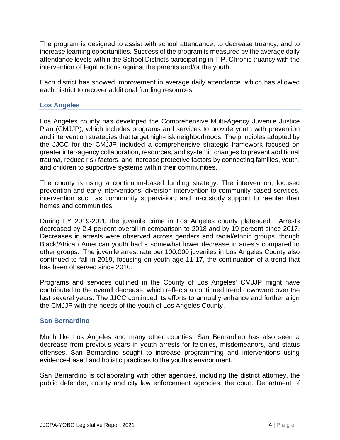The program is designed to assist with school attendance, to decrease truancy, and to increase learning opportunities. Success of the program is measured by the average daily attendance levels within the School Districts participating in TIP. Chronic truancy with the intervention of legal actions against the parents and/or the youth.

Each district has showed improvement in average daily attendance, which has allowed each district to recover additional funding resources.

### **Los Angeles**

Los Angeles county has developed the Comprehensive Multi-Agency Juvenile Justice Plan (CMJJP), which includes programs and services to provide youth with prevention and intervention strategies that target high-risk neighborhoods. The principles adopted by the JJCC for the CMJJP included a comprehensive strategic framework focused on greater inter-agency collaboration, resources, and systemic changes to prevent additional trauma, reduce risk factors, and increase protective factors by connecting families, youth, and children to supportive systems within their communities.

The county is using a continuum-based funding strategy. The intervention, focused prevention and early interventions, diversion intervention to community-based services, intervention such as community supervision, and in-custody support to reenter their homes and communities.

During FY 2019-2020 the juvenile crime in Los Angeles county plateaued. Arrests decreased by 2.4 percent overall in comparison to 2018 and by 19 percent since 2017. Decreases in arrests were observed across genders and racial/ethnic groups, though Black/African American youth had a somewhat lower decrease in arrests compared to other groups. The juvenile arrest rate per 100,000 juveniles in Los Angeles County also continued to fall in 2019, focusing on youth age 11-17, the continuation of a trend that has been observed since 2010.

Programs and services outlined in the County of Los Angeles' CMJJP might have contributed to the overall decrease, which reflects a continued trend downward over the last several years. The JJCC continued its efforts to annually enhance and further align the CMJJP with the needs of the youth of Los Angeles County.

### **San Bernardino**

Much like Los Angeles and many other counties, San Bernardino has also seen a decrease from previous years in youth arrests for felonies, misdemeanors, and status offenses. San Bernardino sought to increase programming and interventions using evidence-based and holistic practices to the youth's environment.

San Bernardino is collaborating with other agencies, including the district attorney, the public defender, county and city law enforcement agencies, the court, Department of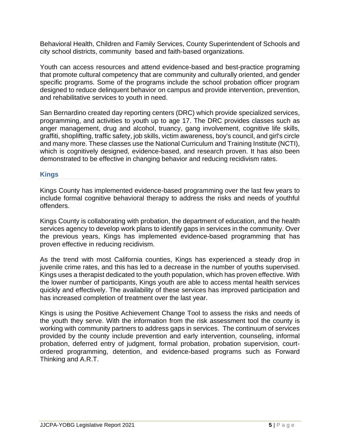Behavioral Health, Children and Family Services, County Superintendent of Schools and city school districts, community based and faith-based organizations.

Youth can access resources and attend evidence-based and best-practice programing that promote cultural competency that are community and culturally oriented, and gender specific programs. Some of the programs include the school probation officer program designed to reduce delinquent behavior on campus and provide intervention, prevention, and rehabilitative services to youth in need.

San Bernardino created day reporting centers (DRC) which provide specialized services, programming, and activities to youth up to age 17. The DRC provides classes such as anger management, drug and alcohol, truancy, gang involvement, cognitive life skills, graffiti, shoplifting, traffic safety, job skills, victim awareness, boy's council, and girl's circle and many more. These classes use the National Curriculum and Training Institute (NCTI), which is cognitively designed, evidence-based, and research proven. It has also been demonstrated to be effective in changing behavior and reducing recidivism rates.

## **Kings**

Kings County has implemented evidence-based programming over the last few years to include formal cognitive behavioral therapy to address the risks and needs of youthful offenders.

Kings County is collaborating with probation, the department of education, and the health services agency to develop work plans to identify gaps in services in the community. Over the previous years, Kings has implemented evidence-based programming that has proven effective in reducing recidivism.

As the trend with most California counties, Kings has experienced a steady drop in juvenile crime rates, and this has led to a decrease in the number of youths supervised. Kings uses a therapist dedicated to the youth population, which has proven effective. With the lower number of participants, Kings youth are able to access mental health services quickly and effectively. The availability of these services has improved participation and has increased completion of treatment over the last year.

Kings is using the Positive Achievement Change Tool to assess the risks and needs of the youth they serve. With the information from the risk assessment tool the county is working with community partners to address gaps in services. The continuum of services provided by the county include prevention and early intervention, counseling, informal probation, deferred entry of judgment, formal probation, probation supervision, courtordered programming, detention, and evidence-based programs such as Forward Thinking and A.R.T.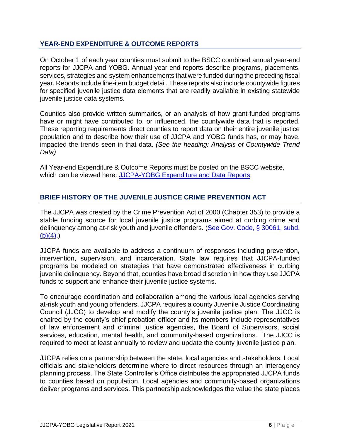## **YEAR-END EXPENDITURE & OUTCOME REPORTS**

On October 1 of each year counties must submit to the BSCC combined annual year-end reports for JJCPA and YOBG. Annual year-end reports describe programs, placements, services, strategies and system enhancements that were funded during the preceding fiscal year. Reports include line-item budget detail. These reports also include countywide figures for specified juvenile justice data elements that are readily available in existing statewide juvenile justice data systems.

Counties also provide written summaries, or an analysis of how grant-funded programs have or might have contributed to, or influenced, the countywide data that is reported. These reporting requirements direct counties to report data on their entire juvenile justice population and to describe how their use of JJCPA and YOBG funds has, or may have, impacted the trends seen in that data. *(See the heading: Analysis of Countywide Trend Data)*

All Year-end Expenditure & Outcome Reports must be posted on the BSCC website, which can be viewed here: [JJCPA-YOBG Expenditure and Data Reports.](https://www.bscc.ca.gov/2019-jjcpa-yobg-expenditure-and-data-reports-2/)

## **BRIEF HISTORY OF THE JUVENILE JUSTICE CRIME PREVENTION ACT**

The JJCPA was created by the Crime Prevention Act of 2000 (Chapter 353) to provide a stable funding source for local juvenile justice programs aimed at curbing crime and delinquency among at-risk youth and juvenile offenders. (See Gov. Code, § 30061, subd.  $(b)(4)$ .

JJCPA funds are available to address a continuum of responses including prevention, intervention, supervision, and incarceration. State law requires that JJCPA-funded programs be modeled on strategies that have demonstrated effectiveness in curbing juvenile delinquency. Beyond that, counties have broad discretion in how they use JJCPA funds to support and enhance their juvenile justice systems.

To encourage coordination and collaboration among the various local agencies serving at-risk youth and young offenders, JJCPA requires a county Juvenile Justice Coordinating Council (JJCC) to develop and modify the county's juvenile justice plan. The JJCC is chaired by the county's chief probation officer and its members include representatives of law enforcement and criminal justice agencies, the Board of Supervisors, social services, education, mental health, and community-based organizations. The JJCC is required to meet at least annually to review and update the county juvenile justice plan.

JJCPA relies on a partnership between the state, local agencies and stakeholders. Local officials and stakeholders determine where to direct resources through an interagency planning process. The State Controller's Office distributes the appropriated JJCPA funds to counties based on population. Local agencies and community-based organizations deliver programs and services. This partnership acknowledges the value the state places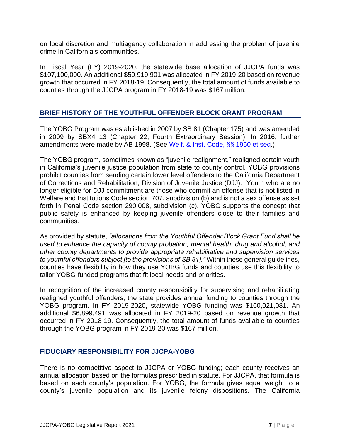on local discretion and multiagency collaboration in addressing the problem of juvenile crime in California's communities.

In Fiscal Year (FY) 2019-2020, the statewide base allocation of JJCPA funds was \$107,100,000. An additional \$59,919,901 was allocated in FY 2019-20 based on revenue growth that occurred in FY 2018-19. Consequently, the total amount of funds available to counties through the JJCPA program in FY 2018-19 was \$167 million.

## **BRIEF HISTORY OF THE YOUTHFUL OFFENDER BLOCK GRANT PROGRAM**

The YOBG Program was established in 2007 by SB 81 (Chapter 175) and was amended in 2009 by SBX4 13 (Chapter 22, Fourth Extraordinary Session). In 2016, further amendments were made by AB 1998. (See [Welf. & Inst. Code, §§ 1950 et seq.](https://leginfo.legislature.ca.gov/faces/codes_displayText.xhtml?lawCode=WIC&division=2.5.&title=&part=&chapter=1.5.&article=1))

The YOBG program, sometimes known as "juvenile realignment," realigned certain youth in California's juvenile justice population from state to county control. YOBG provisions prohibit counties from sending certain lower level offenders to the California Department of Corrections and Rehabilitation, Division of Juvenile Justice (DJJ). Youth who are no longer eligible for DJJ commitment are those who commit an offense that is not listed in Welfare and Institutions Code section 707, subdivision (b) and is not a sex offense as set forth in Penal Code section 290.008, subdivision (c). YOBG supports the concept that public safety is enhanced by keeping juvenile offenders close to their families and communities.

As provided by statute, *"allocations from the Youthful Offender Block Grant Fund shall be used to enhance the capacity of county probation, mental health, drug and alcohol, and other county departments to provide appropriate rehabilitative and supervision services to youthful offenders subject [to the provisions of SB 81]."* Within these general guidelines, counties have flexibility in how they use YOBG funds and counties use this flexibility to tailor YOBG-funded programs that fit local needs and priorities.

In recognition of the increased county responsibility for supervising and rehabilitating realigned youthful offenders, the state provides annual funding to counties through the YOBG program. In FY 2019-2020, statewide YOBG funding was \$160,021,081. An additional \$6,899,491 was allocated in FY 2019-20 based on revenue growth that occurred in FY 2018-19. Consequently, the total amount of funds available to counties through the YOBG program in FY 2019-20 was \$167 million.

## **FIDUCIARY RESPONSIBILITY FOR JJCPA-YOBG**

There is no competitive aspect to JJCPA or YOBG funding; each county receives an annual allocation based on the formulas prescribed in statute. For JJCPA, that formula is based on each county's population. For YOBG, the formula gives equal weight to a county's juvenile population and its juvenile felony dispositions. The California